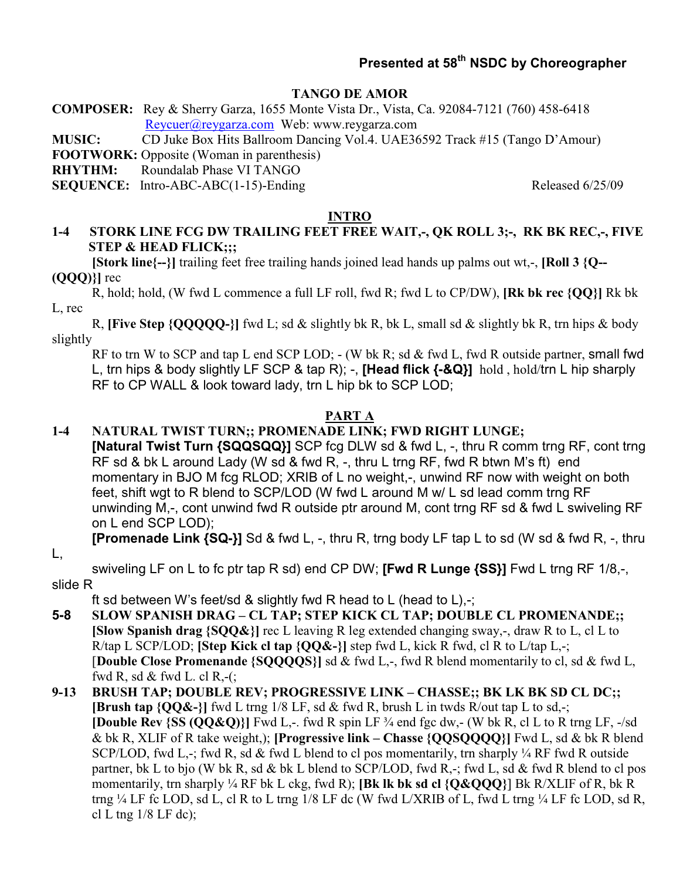## **Presented at 58th NSDC by Choreographer**

#### **TANGO DE AMOR**

**COMPOSER:** Rey & Sherry Garza, 1655 Monte Vista Dr., Vista, Ca. 92084-7121 (760) 458-6418 Reycuer@reygarza.com Web: www.reygarza.com

**MUSIC:** CD Juke Box Hits Ballroom Dancing Vol.4. UAE36592 Track #15 (Tango D'Amour)

**FOOTWORK:** Opposite (Woman in parenthesis)

**RHYTHM:** Roundalab Phase VI TANGO

**SEQUENCE:** Intro-ABC-ABC(1-15)-Ending Released 6/25/09

#### **INTRO**

#### **1-4 STORK LINE FCG DW TRAILING FEET FREE WAIT,-, QK ROLL 3;-, RK BK REC,-, FIVE STEP & HEAD FLICK;;;**

**[Stork line{--}]** trailing feet free trailing hands joined lead hands up palms out wt,-, **[Roll 3 {Q--(QQQ)}]** rec

R, hold; hold, (W fwd L commence a full LF roll, fwd R; fwd L to CP/DW), **[Rk bk rec {QQ}]** Rk bk L, rec

R, **[Five Step {QQQQQ-}]** fwd L; sd & slightly bk R, bk L, small sd & slightly bk R, trn hips & body slightly

RF to trn W to SCP and tap L end SCP LOD; - (W bk R; sd & fwd L, fwd R outside partner, small fwd L, trn hips & body slightly LF SCP & tap R); -, **[Head flick {-&Q}]** hold , hold/trn L hip sharply RF to CP WALL & look toward lady, trn L hip bk to SCP LOD;

#### **PART A**

#### **1-4 NATURAL TWIST TURN;; PROMENADE LINK; FWD RIGHT LUNGE;**

**[Natural Twist Turn {SQQSQQ}]** SCP fcg DLW sd & fwd L, -, thru R comm trng RF, cont trng RF sd & bk L around Lady (W sd & fwd R, -, thru L trng RF, fwd R btwn M's ft) end momentary in BJO M fcg RLOD; XRIB of L no weight,-, unwind RF now with weight on both feet, shift wgt to R blend to SCP/LOD (W fwd L around M w/ L sd lead comm trng RF unwinding M,-, cont unwind fwd R outside ptr around M, cont trng RF sd & fwd L swiveling RF on L end SCP LOD);

**[Promenade Link {SQ-}]** Sd & fwd L, -, thru R, trng body LF tap L to sd (W sd & fwd R, -, thru

L,

swiveling LF on L to fc ptr tap R sd) end CP DW; **[Fwd R Lunge {SS}]** Fwd L trng RF 1/8,-, slide R

ft sd between W's feet/sd & slightly fwd R head to L (head to L) $\cdot$ ;

- **5-8 SLOW SPANISH DRAG – CL TAP; STEP KICK CL TAP; DOUBLE CL PROMENANDE;; [Slow Spanish drag {SQQ&}]** rec L leaving R leg extended changing sway,-, draw R to L, cl L to R/tap L SCP/LOD; **[Step Kick cl tap {QQ&-}]** step fwd L, kick R fwd, cl R to L/tap L,-; [**Double Close Promenande {SQQQQS}]** sd & fwd L,-, fwd R blend momentarily to cl, sd & fwd L, fwd R, sd & fwd L. cl R,- $($ ;
- **9-13 BRUSH TAP; DOUBLE REV; PROGRESSIVE LINK – CHASSE;; BK LK BK SD CL DC;; [Brush tap {QQ&-}]** fwd L trng 1/8 LF, sd & fwd R, brush L in twds R/out tap L to sd,-; **[Double Rev {SS**  $(OO&O)$ **}]** Fwd L<sub>2</sub>. fwd R spin LF  $\frac{3}{4}$  end fgc dw<sub>2</sub> (W bk R, cl L to R trng LF,  $-\frac{1}{8}$ ) & bk R, XLIF of R take weight,); **[Progressive link – Chasse {QQSQQQQ}]** Fwd L, sd & bk R blend SCP/LOD, fwd L,-; fwd R, sd & fwd L blend to cl pos momentarily, trn sharply  $\frac{1}{4}$  RF fwd R outside partner, bk L to bjo (W bk R, sd & bk L blend to SCP/LOD, fwd R,-; fwd L, sd & fwd R blend to cl pos momentarily, trn sharply ¼ RF bk L ckg, fwd R); **[Bk lk bk sd cl {Q&QQQ}**] Bk R/XLIF of R, bk R trng ¼ LF fc LOD, sd L, cl R to L trng 1/8 LF dc (W fwd L/XRIB of L, fwd L trng ¼ LF fc LOD, sd R, cl L tng  $1/8$  LF dc);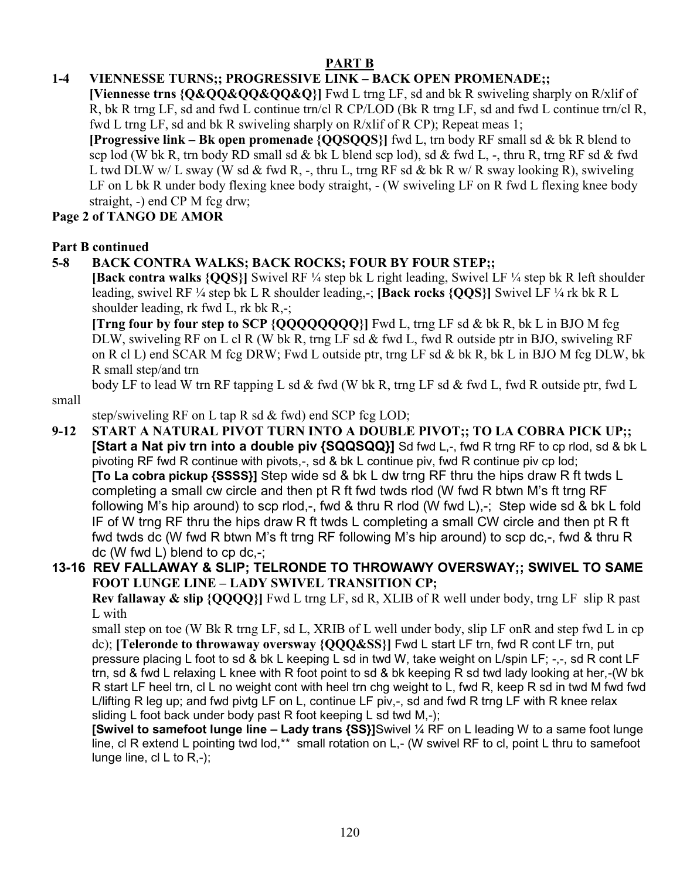## **PART B**

## **1-4 VIENNESSE TURNS;; PROGRESSIVE LINK – BACK OPEN PROMENADE;;**

**[Viennesse trns {Q&QQ&QQ&QQ&Q}]** Fwd L trng LF, sd and bk R swiveling sharply on R/xlif of R, bk R trng LF, sd and fwd L continue trn/cl R CP/LOD (Bk R trng LF, sd and fwd L continue trn/cl R, fwd L trng LF, sd and bk R swiveling sharply on R/xlif of R CP); Repeat meas 1;

**[Progressive link – Bk open promenade {QQSQQS}]** fwd L, trn body RF small sd & bk R blend to scp lod (W bk R, trn body RD small sd & bk L blend scp lod), sd & fwd L, -, thru R, trng RF sd & fwd L twd DLW w/ L sway (W sd & fwd R, -, thru L, trng RF sd & bk R w/ R sway looking R), swiveling LF on L bk R under body flexing knee body straight,  $-$  (W swiveling LF on R fwd L flexing knee body straight, -) end CP M fcg drw;

## **Page 2 of TANGO DE AMOR**

#### **Part B continued**

## **5-8 BACK CONTRA WALKS; BACK ROCKS; FOUR BY FOUR STEP;;**

**[Back contra walks {QQS}]** Swivel RF ¼ step bk L right leading, Swivel LF ¼ step bk R left shoulder leading, swivel RF ¼ step bk L R shoulder leading,-; **[Back rocks {QQS}]** Swivel LF ¼ rk bk R L shoulder leading, rk fwd L, rk bk R,-;

**[Trng four by four step to SCP {QQQQQQQQ}]** Fwd L, trng LF sd & bk R, bk L in BJO M fcg DLW, swiveling RF on L cl R (W bk R, trng LF sd & fwd L, fwd R outside ptr in BJO, swiveling RF on R cl L) end SCAR M fcg DRW; Fwd L outside ptr, trng LF sd & bk R, bk L in BJO M fcg DLW, bk R small step/and trn

body LF to lead W trn RF tapping L sd & fwd (W bk R, trng LF sd & fwd L, fwd R outside ptr, fwd L small

step/swiveling RF on L tap R sd & fwd) end SCP fcg LOD;

**9-12 START A NATURAL PIVOT TURN INTO A DOUBLE PIVOT;; TO LA COBRA PICK UP;; [Start a Nat piv trn into a double piv {SQQSQQ}]** Sd fwd L,-, fwd R trng RF to cp rlod, sd & bk L pivoting RF fwd R continue with pivots,-, sd & bk L continue piv, fwd R continue piv cp lod; **[To La cobra pickup {SSSS}]** Step wide sd & bk L dw trng RF thru the hips draw R ft twds L completing a small cw circle and then pt R ft fwd twds rlod (W fwd R btwn M's ft trng RF following M's hip around) to scp rlod,-, fwd & thru R rlod (W fwd L),-; Step wide sd & bk L fold IF of W trng RF thru the hips draw R ft twds L completing a small CW circle and then pt R ft fwd twds dc (W fwd R btwn M's ft trng RF following M's hip around) to scp dc,-, fwd & thru R dc (W fwd L) blend to cp dc,-;

## **13-16 REV FALLAWAY & SLIP; TELRONDE TO THROWAWY OVERSWAY;; SWIVEL TO SAME FOOT LUNGE LINE – LADY SWIVEL TRANSITION CP;**

**Rev fallaway & slip {QQQQ}]** Fwd L trng LF, sd R, XLIB of R well under body, trng LF slip R past L with

small step on toe (W Bk R trng LF, sd L, XRIB of L well under body, slip LF onR and step fwd L in cp dc); **[Teleronde to throwaway oversway {QQQ&SS}]** Fwd L start LF trn, fwd R cont LF trn, put pressure placing L foot to sd & bk L keeping L sd in twd W, take weight on L/spin LF; -,-, sd R cont LF trn, sd & fwd L relaxing L knee with R foot point to sd & bk keeping R sd twd lady looking at her,-(W bk R start LF heel trn, cl L no weight cont with heel trn chg weight to L, fwd R, keep R sd in twd M fwd fwd L/lifting R leg up; and fwd pivtg LF on L, continue LF piv,-, sd and fwd R trng LF with R knee relax sliding L foot back under body past R foot keeping L sd twd M,-);

**[Swivel to samefoot lunge line – Lady trans {SS}]**Swivel ¼ RF on L leading W to a same foot lunge line, cl R extend L pointing twd lod,<sup>\*\*</sup> small rotation on L,- (W swivel RF to cl, point L thru to samefoot lunge line, cl L to R,-);